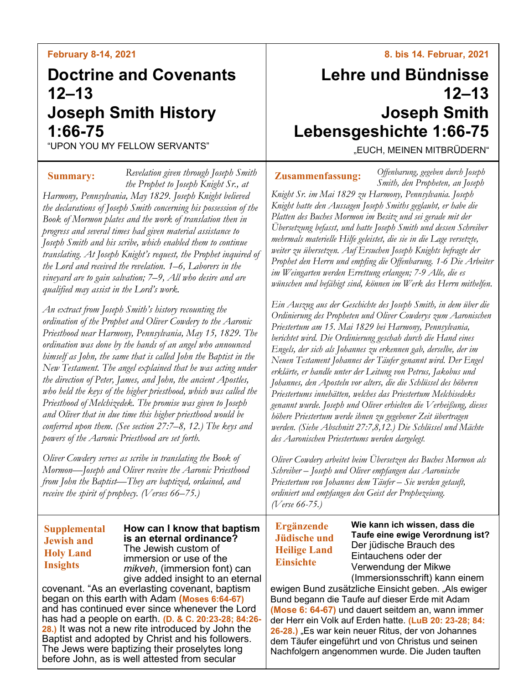## **February 8-14, 2021**

# **Doctrine and Covenants 12–13 Joseph Smith History 1:66-75**

"UPON YOU MY FELLOW SERVANTS"

*Revelation given through Joseph Smith the Prophet to Joseph Knight Sr., at Harmony, Pennsylvania, May 1829. Joseph Knight believed the declarations of Joseph Smith concerning his possession of the Book of Mormon plates and the work of translation then in progress and several times had given material assistance to Joseph Smith and his scribe, which enabled them to continue translating. At Joseph Knight's request, the Prophet inquired of the Lord and received the revelation. 1–6, Laborers in the vineyard are to gain salvation; 7–9, All who desire and are qualified may assist in the Lord's work.* **Summary:**

*An extract from Joseph Smith's history recounting the ordination of the Prophet and Oliver Cowdery to the Aaronic Priesthood near Harmony, Pennsylvania, May 15, 1829. The ordination was done by the hands of an angel who announced himself as John, the same that is called John the Baptist in the New Testament. The angel explained that he was acting under the direction of Peter, James, and John, the ancient Apostles, who held the keys of the higher priesthood, which was called the Priesthood of Melchizedek. The promise was given to Joseph and Oliver that in due time this higher priesthood would be conferred upon them. (See section 27:7–8, 12.) The keys and powers of the Aaronic Priesthood are set forth.*

*Oliver Cowdery serves as scribe in translating the Book of Mormon—Joseph and Oliver receive the Aaronic Priesthood from John the Baptist—They are baptized, ordained, and receive the spirit of prophecy. (Verses 66–75.)*

## **Supplemental Jewish and Holy Land Insights**

**How can I know that baptism is an eternal ordinance?** The Jewish custom of immersion or use of the *mikveh*, (immersion font) can give added insight to an eternal

covenant. "As an everlasting covenant, baptism began on this earth with Adam **(Moses 6:64-67)** and has continued ever since whenever the Lord has had a people on earth. **(D. & C. 20:23-28; 84:26- 28.)** It was not a new rite introduced by John the Baptist and adopted by Christ and his followers. The Jews were baptizing their proselytes long before John, as is well attested from secular

## **8. bis 14. Februar, 2021**

# **Lehre und Bündnisse 12–13 Joseph Smith Lebensgeshichte 1:66-75**

"EUCH, MEINEN MITBRÜDERN"

**Zusammenfassung:**

*Offenbarung, gegeben durch Joseph Smith, den Propheten, an Joseph* 

*Knight Sr. im Mai 1829 zu Harmony, Pennsylvania. Joseph Knight hatte den Aussagen Joseph Smiths geglaubt, er habe die Platten des Buches Mormon im Besitz und sei gerade mit der Übersetzung befasst, und hatte Joseph Smith und dessen Schreiber mehrmals materielle Hilfe geleistet, die sie in die Lage versetzte, weiter zu übersetzen. Auf Ersuchen Joseph Knights befragte der Prophet den Herrn und empfing die Offenbarung. 1-6 Die Arbeiter im Weingarten werden Errettung erlangen; 7-9 Alle, die es wünschen und befähigt sind, können im Werk des Herrn mithelfen.*

*Ein Auszug aus der Geschichte des Joseph Smith, in dem über die Ordinierung des Propheten und Oliver Cowderys zum Aaronischen Priestertum am 15. Mai 1829 bei Harmony, Pennsylvania, berichtet wird. Die Ordinierung geschah durch die Hand eines Engels, der sich als Johannes zu erkennen gab, derselbe, der im Neuen Testament Johannes der Täufer genannt wird. Der Engel erklärte, er handle unter der Leitung von Petrus, Jakobus und Johannes, den Aposteln vor alters, die die Schlüssel des höheren Priestertums innehätten, welches das Priestertum Melchisedeks genannt wurde. Joseph und Oliver erhielten die Verheißung, dieses höhere Priestertum werde ihnen zu gegebener Zeit übertragen werden. (Siehe Abschnitt 27:7,8,12.) Die Schlüssel und Mächte des Aaronischen Priestertums werden dargelegt.*

*Oliver Cowdery arbeitet beim Übersetzen des Buches Mormon als Schreiber – Joseph und Oliver empfangen das Aaronische Priestertum von Johannes dem Täufer – Sie werden getauft, ordiniert und empfangen den Geist der Prophezeiung. (Verse 66-75.)*

**Ergänzende Jüdische und Heilige Land Einsichte**

**Wie kann ich wissen, dass die Taufe eine ewige Verordnung ist?** Der jüdische Brauch des Eintauchens oder der Verwendung der Mikwe (Immersionsschrift) kann einem

ewigen Bund zusätzliche Einsicht geben. "Als ewiger Bund begann die Taufe auf dieser Erde mit Adam **(Mose 6: 64-67)** und dauert seitdem an, wann immer der Herr ein Volk auf Erden hatte. **(LuB 20: 23-28; 84:**  26-28.) "Es war kein neuer Ritus, der von Johannes dem Täufer eingeführt und von Christus und seinen Nachfolgern angenommen wurde. Die Juden tauften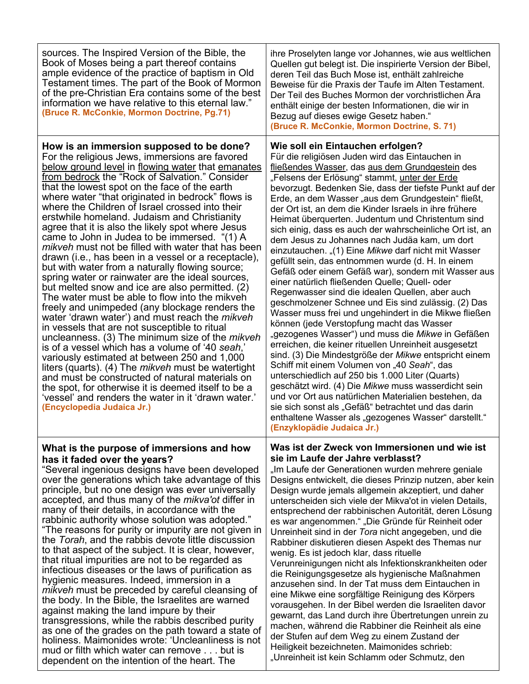| sources. The Inspired Version of the Bible, the<br>Book of Moses being a part thereof contains<br>ample evidence of the practice of baptism in Old<br>Testament times. The part of the Book of Mormon<br>of the pre-Christian Era contains some of the best<br>information we have relative to this eternal law."<br>(Bruce R. McConkie, Mormon Doctrine, Pg.71)                                                                                                                                                                                                                                                                                                                                                                                                                                                                                                                                                                                                                                                                                                                                                                                                                                                                                                                                                                                                                                                              | ihre Proselyten lange vor Johannes, wie aus weltlichen<br>Quellen gut belegt ist. Die inspirierte Version der Bibel,<br>deren Teil das Buch Mose ist, enthält zahlreiche<br>Beweise für die Praxis der Taufe im Alten Testament.<br>Der Teil des Buches Mormon der vorchristlichen Ära<br>enthält einige der besten Informationen, die wir in<br>Bezug auf dieses ewige Gesetz haben."<br>(Bruce R. McConkie, Mormon Doctrine, S. 71)                                                                                                                                                                                                                                                                                                                                                                                                                                                                                                                                                                                                                                                                                                                                                                                                                                                                                                                                                                                                                                                                            |
|-------------------------------------------------------------------------------------------------------------------------------------------------------------------------------------------------------------------------------------------------------------------------------------------------------------------------------------------------------------------------------------------------------------------------------------------------------------------------------------------------------------------------------------------------------------------------------------------------------------------------------------------------------------------------------------------------------------------------------------------------------------------------------------------------------------------------------------------------------------------------------------------------------------------------------------------------------------------------------------------------------------------------------------------------------------------------------------------------------------------------------------------------------------------------------------------------------------------------------------------------------------------------------------------------------------------------------------------------------------------------------------------------------------------------------|------------------------------------------------------------------------------------------------------------------------------------------------------------------------------------------------------------------------------------------------------------------------------------------------------------------------------------------------------------------------------------------------------------------------------------------------------------------------------------------------------------------------------------------------------------------------------------------------------------------------------------------------------------------------------------------------------------------------------------------------------------------------------------------------------------------------------------------------------------------------------------------------------------------------------------------------------------------------------------------------------------------------------------------------------------------------------------------------------------------------------------------------------------------------------------------------------------------------------------------------------------------------------------------------------------------------------------------------------------------------------------------------------------------------------------------------------------------------------------------------------------------|
| How is an immersion supposed to be done?<br>For the religious Jews, immersions are favored<br>below ground level in flowing water that emanates<br>from bedrock the "Rock of Salvation." Consider<br>that the lowest spot on the face of the earth<br>where water "that originated in bedrock" flows is<br>where the Children of Israel crossed into their<br>erstwhile homeland. Judaism and Christianity<br>agree that it is also the likely spot where Jesus<br>came to John in Judea to be immersed. "(1) A<br>mikveh must not be filled with water that has been<br>drawn (i.e., has been in a vessel or a receptacle),<br>but with water from a naturally flowing source;<br>spring water or rainwater are the ideal sources,<br>but melted snow and ice are also permitted. (2)<br>The water must be able to flow into the mikveh<br>freely and unimpeded (any blockage renders the<br>water 'drawn water') and must reach the <i>mikveh</i><br>in vessels that are not susceptible to ritual<br>uncleanness. (3) The minimum size of the <i>mikveh</i><br>is of a vessel which has a volume of '40 seah,'<br>variously estimated at between 250 and 1,000<br>liters (quarts). (4) The <i>mikveh</i> must be watertight<br>and must be constructed of natural materials on<br>the spot, for otherwise it is deemed itself to be a<br>'vessel' and renders the water in it 'drawn water.'<br>(Encyclopedia Judaica Jr.) | Wie soll ein Eintauchen erfolgen?<br>Für die religiösen Juden wird das Eintauchen in<br>fließendes Wasser, das aus dem Grundgestein des<br>"Felsens der Erlösung" stammt, unter der Erde<br>bevorzugt. Bedenken Sie, dass der tiefste Punkt auf der<br>Erde, an dem Wasser "aus dem Grundgestein" fließt,<br>der Ort ist, an dem die Kinder Israels in ihre frühere<br>Heimat überquerten. Judentum und Christentum sind<br>sich einig, dass es auch der wahrscheinliche Ort ist, an<br>dem Jesus zu Johannes nach Judäa kam, um dort<br>einzutauchen. "(1) Eine Mikwe darf nicht mit Wasser<br>gefüllt sein, das entnommen wurde (d. H. In einem<br>Gefäß oder einem Gefäß war), sondern mit Wasser aus<br>einer natürlich fließenden Quelle; Quell- oder<br>Regenwasser sind die idealen Quellen, aber auch<br>geschmolzener Schnee und Eis sind zulässig. (2) Das<br>Wasser muss frei und ungehindert in die Mikwe fließen<br>können (jede Verstopfung macht das Wasser<br>"gezogenes Wasser") und muss die Mikwe in Gefäßen<br>erreichen, die keiner rituellen Unreinheit ausgesetzt<br>sind. (3) Die Mindestgröße der Mikwe entspricht einem<br>Schiff mit einem Volumen von "40 Seah", das<br>unterschiedlich auf 250 bis 1.000 Liter (Quarts)<br>geschätzt wird. (4) Die Mikwe muss wasserdicht sein<br>und vor Ort aus natürlichen Materialien bestehen, da<br>sie sich sonst als "Gefäß" betrachtet und das darin<br>enthaltene Wasser als "gezogenes Wasser" darstellt."<br>(Enzyklopädie Judaica Jr.) |
| What is the purpose of immersions and how<br>has it faded over the years?<br>"Several ingenious designs have been developed<br>over the generations which take advantage of this<br>principle, but no one design was ever universally<br>accepted, and thus many of the <i>mikva'ot</i> differ in<br>many of their details, in accordance with the<br>rabbinic authority whose solution was adopted."<br>"The reasons for purity or impurity are not given in<br>the Torah, and the rabbis devote little discussion<br>to that aspect of the subject. It is clear, however,<br>that ritual impurities are not to be regarded as<br>infectious diseases or the laws of purification as<br>hygienic measures. Indeed, immersion in a<br><i>mikveh</i> must be preceded by careful cleansing of<br>the body. In the Bible, the Israelites are warned<br>against making the land impure by their<br>transgressions, while the rabbis described purity<br>as one of the grades on the path toward a state of<br>holiness. Maimonides wrote: 'Uncleanliness is not<br>mud or filth which water can remove but is<br>dependent on the intention of the heart. The                                                                                                                                                                                                                                                                    | Was ist der Zweck von Immersionen und wie ist<br>sie im Laufe der Jahre verblasst?<br>"Im Laufe der Generationen wurden mehrere geniale<br>Designs entwickelt, die dieses Prinzip nutzen, aber kein<br>Design wurde jemals allgemein akzeptiert, und daher<br>unterscheiden sich viele der Mikva'ot in vielen Details,<br>entsprechend der rabbinischen Autorität, deren Lösung<br>es war angenommen." "Die Gründe für Reinheit oder<br>Unreinheit sind in der Tora nicht angegeben, und die<br>Rabbiner diskutieren diesen Aspekt des Themas nur<br>wenig. Es ist jedoch klar, dass rituelle<br>Verunreinigungen nicht als Infektionskrankheiten oder<br>die Reinigungsgesetze als hygienische Maßnahmen<br>anzusehen sind. In der Tat muss dem Eintauchen in<br>eine Mikwe eine sorgfältige Reinigung des Körpers<br>vorausgehen. In der Bibel werden die Israeliten davor<br>gewarnt, das Land durch ihre Übertretungen unrein zu<br>machen, während die Rabbiner die Reinheit als eine<br>der Stufen auf dem Weg zu einem Zustand der<br>Heiligkeit bezeichneten. Maimonides schrieb:<br>"Unreinheit ist kein Schlamm oder Schmutz, den                                                                                                                                                                                                                                                                                                                                                                      |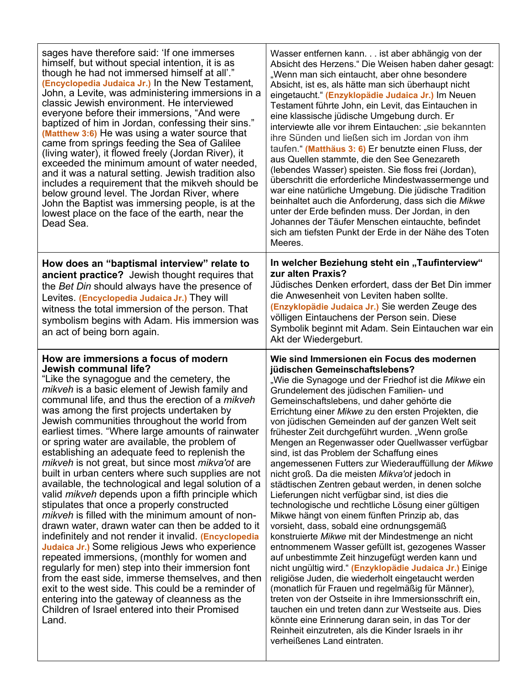| sages have therefore said: 'If one immerses<br>himself, but without special intention, it is as<br>though he had not immersed himself at all'."<br>(Encyclopedia Judaica Jr.) In the New Testament,<br>John, a Levite, was administering immersions in a<br>classic Jewish environment. He interviewed<br>everyone before their immersions, "And were<br>baptized of him in Jordan, confessing their sins."<br>(Matthew 3:6) He was using a water source that<br>came from springs feeding the Sea of Galilee<br>(living water), it flowed freely (Jordan River), it<br>exceeded the minimum amount of water needed,<br>and it was a natural setting. Jewish tradition also<br>includes a requirement that the mikveh should be<br>below ground level. The Jordan River, where<br>John the Baptist was immersing people, is at the<br>lowest place on the face of the earth, near the<br>Dead Sea.                                                                                                                                                                                                                                                                                                                                                                                                | Wasser entfernen kann ist aber abhängig von der<br>Absicht des Herzens." Die Weisen haben daher gesagt:<br>"Wenn man sich eintaucht, aber ohne besondere<br>Absicht, ist es, als hätte man sich überhaupt nicht<br>eingetaucht." (Enzyklopädie Judaica Jr.) Im Neuen<br>Testament führte John, ein Levit, das Eintauchen in<br>eine klassische jüdische Umgebung durch. Er<br>interviewte alle vor ihrem Eintauchen: "sie bekannten<br>ihre Sünden und ließen sich im Jordan von ihm<br>taufen." (Matthäus 3: 6) Er benutzte einen Fluss, der<br>aus Quellen stammte, die den See Genezareth<br>(lebendes Wasser) speisten. Sie floss frei (Jordan),<br>überschritt die erforderliche Mindestwassermenge und<br>war eine natürliche Umgebung. Die jüdische Tradition<br>beinhaltet auch die Anforderung, dass sich die Mikwe<br>unter der Erde befinden muss. Der Jordan, in den<br>Johannes der Täufer Menschen eintauchte, befindet<br>sich am tiefsten Punkt der Erde in der Nähe des Toten<br>Meeres.                                                                                                                                                                                                                                                                                                                     |
|---------------------------------------------------------------------------------------------------------------------------------------------------------------------------------------------------------------------------------------------------------------------------------------------------------------------------------------------------------------------------------------------------------------------------------------------------------------------------------------------------------------------------------------------------------------------------------------------------------------------------------------------------------------------------------------------------------------------------------------------------------------------------------------------------------------------------------------------------------------------------------------------------------------------------------------------------------------------------------------------------------------------------------------------------------------------------------------------------------------------------------------------------------------------------------------------------------------------------------------------------------------------------------------------------|-------------------------------------------------------------------------------------------------------------------------------------------------------------------------------------------------------------------------------------------------------------------------------------------------------------------------------------------------------------------------------------------------------------------------------------------------------------------------------------------------------------------------------------------------------------------------------------------------------------------------------------------------------------------------------------------------------------------------------------------------------------------------------------------------------------------------------------------------------------------------------------------------------------------------------------------------------------------------------------------------------------------------------------------------------------------------------------------------------------------------------------------------------------------------------------------------------------------------------------------------------------------------------------------------------------------------------|
| How does an "baptismal interview" relate to<br>ancient practice? Jewish thought requires that<br>the Bet Din should always have the presence of<br>Levites. (Encyclopedia Judaica Jr.) They will<br>witness the total immersion of the person. That<br>symbolism begins with Adam. His immersion was<br>an act of being born again.                                                                                                                                                                                                                                                                                                                                                                                                                                                                                                                                                                                                                                                                                                                                                                                                                                                                                                                                                               | In welcher Beziehung steht ein "Taufinterview"<br>zur alten Praxis?<br>Jüdisches Denken erfordert, dass der Bet Din immer<br>die Anwesenheit von Leviten haben sollte.<br>(Enzyklopädie Judaica Jr.) Sie werden Zeuge des<br>völligen Eintauchens der Person sein. Diese<br>Symbolik beginnt mit Adam. Sein Eintauchen war ein<br>Akt der Wiedergeburt.                                                                                                                                                                                                                                                                                                                                                                                                                                                                                                                                                                                                                                                                                                                                                                                                                                                                                                                                                                       |
| How are immersions a focus of modern<br>Jewish communal life?<br>"Like the synagogue and the cemetery, the<br>mikveh is a basic element of Jewish family and<br>communal life, and thus the erection of a mikveh<br>was among the first projects undertaken by<br>Jewish communities throughout the world from<br>earliest times. "Where large amounts of rainwater<br>or spring water are available, the problem of<br>establishing an adequate feed to replenish the<br>mikveh is not great, but since most mikva'ot are<br>built in urban centers where such supplies are not<br>available, the technological and legal solution of a<br>valid mikveh depends upon a fifth principle which<br>stipulates that once a properly constructed<br><i>mikveh</i> is filled with the minimum amount of non-<br>drawn water, drawn water can then be added to it<br>indefinitely and not render it invalid. (Encyclopedia<br>Judaica Jr.) Some religious Jews who experience<br>repeated immersions, (monthly for women and<br>regularly for men) step into their immersion font<br>from the east side, immerse themselves, and then<br>exit to the west side. This could be a reminder of<br>entering into the gateway of cleanness as the<br>Children of Israel entered into their Promised<br>Land. | Wie sind Immersionen ein Focus des modernen<br>jüdischen Gemeinschaftslebens?<br>"Wie die Synagoge und der Friedhof ist die <i>Mikwe</i> ein<br>Grundelement des jüdischen Familien- und<br>Gemeinschaftslebens, und daher gehörte die<br>Errichtung einer Mikwe zu den ersten Projekten, die<br>von jüdischen Gemeinden auf der ganzen Welt seit<br>frühester Zeit durchgeführt wurden. "Wenn große<br>Mengen an Regenwasser oder Quellwasser verfügbar<br>sind, ist das Problem der Schaffung eines<br>angemessenen Futters zur Wiederauffüllung der Mikwe<br>nicht groß. Da die meisten Mikva'ot jedoch in<br>städtischen Zentren gebaut werden, in denen solche<br>Lieferungen nicht verfügbar sind, ist dies die<br>technologische und rechtliche Lösung einer gültigen<br>Mikwe hängt von einem fünften Prinzip ab, das<br>vorsieht, dass, sobald eine ordnungsgemäß<br>konstruierte Mikwe mit der Mindestmenge an nicht<br>entnommenem Wasser gefüllt ist, gezogenes Wasser<br>auf unbestimmte Zeit hinzugefügt werden kann und<br>nicht ungültig wird." (Enzyklopädie Judaica Jr.) Einige<br>religiöse Juden, die wiederholt eingetaucht werden<br>(monatlich für Frauen und regelmäßig für Männer),<br>treten von der Ostseite in ihre Immersionsschrift ein,<br>tauchen ein und treten dann zur Westseite aus. Dies |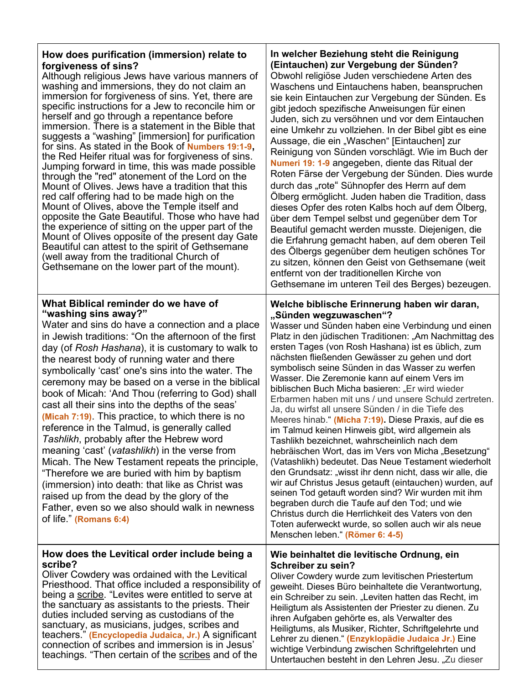| How does purification (immersion) relate to                                                                                                                                                                                                                                                                                                                                                                                                                                                                                                                                                                                                                                                                                                                                                                                                                                                                                                                                       | In welcher Beziehung steht die Reinigung                                                                                                                                                                                                                                                                                                                                                                                                                                                                                                                                                                                                                                                                                                                                                                                                                                                                                                                                                                                                                                                                                                                                                                                      |
|-----------------------------------------------------------------------------------------------------------------------------------------------------------------------------------------------------------------------------------------------------------------------------------------------------------------------------------------------------------------------------------------------------------------------------------------------------------------------------------------------------------------------------------------------------------------------------------------------------------------------------------------------------------------------------------------------------------------------------------------------------------------------------------------------------------------------------------------------------------------------------------------------------------------------------------------------------------------------------------|-------------------------------------------------------------------------------------------------------------------------------------------------------------------------------------------------------------------------------------------------------------------------------------------------------------------------------------------------------------------------------------------------------------------------------------------------------------------------------------------------------------------------------------------------------------------------------------------------------------------------------------------------------------------------------------------------------------------------------------------------------------------------------------------------------------------------------------------------------------------------------------------------------------------------------------------------------------------------------------------------------------------------------------------------------------------------------------------------------------------------------------------------------------------------------------------------------------------------------|
| forgiveness of sins?                                                                                                                                                                                                                                                                                                                                                                                                                                                                                                                                                                                                                                                                                                                                                                                                                                                                                                                                                              | (Eintauchen) zur Vergebung der Sünden?                                                                                                                                                                                                                                                                                                                                                                                                                                                                                                                                                                                                                                                                                                                                                                                                                                                                                                                                                                                                                                                                                                                                                                                        |
| Although religious Jews have various manners of                                                                                                                                                                                                                                                                                                                                                                                                                                                                                                                                                                                                                                                                                                                                                                                                                                                                                                                                   | Obwohl religiöse Juden verschiedene Arten des                                                                                                                                                                                                                                                                                                                                                                                                                                                                                                                                                                                                                                                                                                                                                                                                                                                                                                                                                                                                                                                                                                                                                                                 |
| washing and immersions, they do not claim an                                                                                                                                                                                                                                                                                                                                                                                                                                                                                                                                                                                                                                                                                                                                                                                                                                                                                                                                      | Waschens und Eintauchens haben, beanspruchen                                                                                                                                                                                                                                                                                                                                                                                                                                                                                                                                                                                                                                                                                                                                                                                                                                                                                                                                                                                                                                                                                                                                                                                  |
| immersion for forgiveness of sins. Yet, there are                                                                                                                                                                                                                                                                                                                                                                                                                                                                                                                                                                                                                                                                                                                                                                                                                                                                                                                                 | sie kein Eintauchen zur Vergebung der Sünden. Es                                                                                                                                                                                                                                                                                                                                                                                                                                                                                                                                                                                                                                                                                                                                                                                                                                                                                                                                                                                                                                                                                                                                                                              |
| specific instructions for a Jew to reconcile him or                                                                                                                                                                                                                                                                                                                                                                                                                                                                                                                                                                                                                                                                                                                                                                                                                                                                                                                               | gibt jedoch spezifische Anweisungen für einen                                                                                                                                                                                                                                                                                                                                                                                                                                                                                                                                                                                                                                                                                                                                                                                                                                                                                                                                                                                                                                                                                                                                                                                 |
| herself and go through a repentance before                                                                                                                                                                                                                                                                                                                                                                                                                                                                                                                                                                                                                                                                                                                                                                                                                                                                                                                                        | Juden, sich zu versöhnen und vor dem Eintauchen                                                                                                                                                                                                                                                                                                                                                                                                                                                                                                                                                                                                                                                                                                                                                                                                                                                                                                                                                                                                                                                                                                                                                                               |
| immersion. There is a statement in the Bible that                                                                                                                                                                                                                                                                                                                                                                                                                                                                                                                                                                                                                                                                                                                                                                                                                                                                                                                                 | eine Umkehr zu vollziehen. In der Bibel gibt es eine                                                                                                                                                                                                                                                                                                                                                                                                                                                                                                                                                                                                                                                                                                                                                                                                                                                                                                                                                                                                                                                                                                                                                                          |
| suggests a "washing" [immersion] for purification                                                                                                                                                                                                                                                                                                                                                                                                                                                                                                                                                                                                                                                                                                                                                                                                                                                                                                                                 | Aussage, die ein "Waschen" [Eintauchen] zur                                                                                                                                                                                                                                                                                                                                                                                                                                                                                                                                                                                                                                                                                                                                                                                                                                                                                                                                                                                                                                                                                                                                                                                   |
| for sins. As stated in the Book of Numbers 19:1-9,                                                                                                                                                                                                                                                                                                                                                                                                                                                                                                                                                                                                                                                                                                                                                                                                                                                                                                                                | Reinigung von Sünden vorschlägt. Wie im Buch der                                                                                                                                                                                                                                                                                                                                                                                                                                                                                                                                                                                                                                                                                                                                                                                                                                                                                                                                                                                                                                                                                                                                                                              |
| the Red Heifer ritual was for forgiveness of sins.                                                                                                                                                                                                                                                                                                                                                                                                                                                                                                                                                                                                                                                                                                                                                                                                                                                                                                                                | Numeri 19: 1-9 angegeben, diente das Ritual der                                                                                                                                                                                                                                                                                                                                                                                                                                                                                                                                                                                                                                                                                                                                                                                                                                                                                                                                                                                                                                                                                                                                                                               |
| Jumping forward in time, this was made possible                                                                                                                                                                                                                                                                                                                                                                                                                                                                                                                                                                                                                                                                                                                                                                                                                                                                                                                                   | Roten Färse der Vergebung der Sünden. Dies wurde                                                                                                                                                                                                                                                                                                                                                                                                                                                                                                                                                                                                                                                                                                                                                                                                                                                                                                                                                                                                                                                                                                                                                                              |
| through the "red" atonement of the Lord on the                                                                                                                                                                                                                                                                                                                                                                                                                                                                                                                                                                                                                                                                                                                                                                                                                                                                                                                                    | durch das "rote" Sühnopfer des Herrn auf dem                                                                                                                                                                                                                                                                                                                                                                                                                                                                                                                                                                                                                                                                                                                                                                                                                                                                                                                                                                                                                                                                                                                                                                                  |
| Mount of Olives. Jews have a tradition that this                                                                                                                                                                                                                                                                                                                                                                                                                                                                                                                                                                                                                                                                                                                                                                                                                                                                                                                                  | Ölberg ermöglicht. Juden haben die Tradition, dass                                                                                                                                                                                                                                                                                                                                                                                                                                                                                                                                                                                                                                                                                                                                                                                                                                                                                                                                                                                                                                                                                                                                                                            |
| red calf offering had to be made high on the                                                                                                                                                                                                                                                                                                                                                                                                                                                                                                                                                                                                                                                                                                                                                                                                                                                                                                                                      | dieses Opfer des roten Kalbs hoch auf dem Ölberg,                                                                                                                                                                                                                                                                                                                                                                                                                                                                                                                                                                                                                                                                                                                                                                                                                                                                                                                                                                                                                                                                                                                                                                             |
| Mount of Olives, above the Temple itself and                                                                                                                                                                                                                                                                                                                                                                                                                                                                                                                                                                                                                                                                                                                                                                                                                                                                                                                                      | über dem Tempel selbst und gegenüber dem Tor                                                                                                                                                                                                                                                                                                                                                                                                                                                                                                                                                                                                                                                                                                                                                                                                                                                                                                                                                                                                                                                                                                                                                                                  |
| opposite the Gate Beautiful. Those who have had                                                                                                                                                                                                                                                                                                                                                                                                                                                                                                                                                                                                                                                                                                                                                                                                                                                                                                                                   | Beautiful gemacht werden musste. Diejenigen, die                                                                                                                                                                                                                                                                                                                                                                                                                                                                                                                                                                                                                                                                                                                                                                                                                                                                                                                                                                                                                                                                                                                                                                              |
| the experience of sitting on the upper part of the                                                                                                                                                                                                                                                                                                                                                                                                                                                                                                                                                                                                                                                                                                                                                                                                                                                                                                                                | die Erfahrung gemacht haben, auf dem oberen Teil                                                                                                                                                                                                                                                                                                                                                                                                                                                                                                                                                                                                                                                                                                                                                                                                                                                                                                                                                                                                                                                                                                                                                                              |
| Mount of Olives opposite of the present day Gate                                                                                                                                                                                                                                                                                                                                                                                                                                                                                                                                                                                                                                                                                                                                                                                                                                                                                                                                  | des Ölbergs gegenüber dem heutigen schönes Tor                                                                                                                                                                                                                                                                                                                                                                                                                                                                                                                                                                                                                                                                                                                                                                                                                                                                                                                                                                                                                                                                                                                                                                                |
| Beautiful can attest to the spirit of Gethsemane                                                                                                                                                                                                                                                                                                                                                                                                                                                                                                                                                                                                                                                                                                                                                                                                                                                                                                                                  | zu sitzen, können den Geist von Gethsemane (weit                                                                                                                                                                                                                                                                                                                                                                                                                                                                                                                                                                                                                                                                                                                                                                                                                                                                                                                                                                                                                                                                                                                                                                              |
| (well away from the traditional Church of                                                                                                                                                                                                                                                                                                                                                                                                                                                                                                                                                                                                                                                                                                                                                                                                                                                                                                                                         | entfernt von der traditionellen Kirche von                                                                                                                                                                                                                                                                                                                                                                                                                                                                                                                                                                                                                                                                                                                                                                                                                                                                                                                                                                                                                                                                                                                                                                                    |
| Gethsemane on the lower part of the mount).                                                                                                                                                                                                                                                                                                                                                                                                                                                                                                                                                                                                                                                                                                                                                                                                                                                                                                                                       | Gethsemane im unteren Teil des Berges) bezeugen.                                                                                                                                                                                                                                                                                                                                                                                                                                                                                                                                                                                                                                                                                                                                                                                                                                                                                                                                                                                                                                                                                                                                                                              |
| What Biblical reminder do we have of<br>"washing sins away?"<br>Water and sins do have a connection and a place<br>in Jewish traditions: "On the afternoon of the first<br>day (of Rosh Hashana), it is customary to walk to<br>the nearest body of running water and there<br>symbolically 'cast' one's sins into the water. The<br>ceremony may be based on a verse in the biblical<br>book of Micah: 'And Thou (referring to God) shall<br>cast all their sins into the depths of the seas'<br>(Micah 7:19). This practice, to which there is no<br>reference in the Talmud, is generally called<br>Tashlikh, probably after the Hebrew word<br>meaning 'cast' (vatashlikh) in the verse from<br>Micah. The New Testament repeats the principle,<br>"Therefore we are buried with him by baptism<br>(immersion) into death: that like as Christ was<br>raised up from the dead by the glory of the<br>Father, even so we also should walk in newness<br>of life." (Romans 6:4) | Welche biblische Erinnerung haben wir daran,<br>"Sünden wegzuwaschen"?<br>Wasser und Sünden haben eine Verbindung und einen<br>Platz in den jüdischen Traditionen: "Am Nachmittag des<br>ersten Tages (von Rosh Hashana) ist es üblich, zum<br>nächsten fließenden Gewässer zu gehen und dort<br>symbolisch seine Sünden in das Wasser zu werfen<br>Wasser. Die Zeremonie kann auf einem Vers im<br>biblischen Buch Micha basieren: "Er wird wieder<br>Erbarmen haben mit uns / und unsere Schuld zertreten.<br>Ja, du wirfst all unsere Sünden / in die Tiefe des<br>Meeres hinab." (Micha 7:19). Diese Praxis, auf die es<br>im Talmud keinen Hinweis gibt, wird allgemein als<br>Tashlikh bezeichnet, wahrscheinlich nach dem<br>hebräischen Wort, das im Vers von Micha "Besetzung"<br>(Vatashlikh) bedeutet. Das Neue Testament wiederholt<br>den Grundsatz: "wisst ihr denn nicht, dass wir alle, die<br>wir auf Christus Jesus getauft (eintauchen) wurden, auf<br>seinen Tod getauft worden sind? Wir wurden mit ihm<br>begraben durch die Taufe auf den Tod; und wie<br>Christus durch die Herrlichkeit des Vaters von den<br>Toten auferweckt wurde, so sollen auch wir als neue<br>Menschen leben." (Römer 6: 4-5) |
| How does the Levitical order include being a                                                                                                                                                                                                                                                                                                                                                                                                                                                                                                                                                                                                                                                                                                                                                                                                                                                                                                                                      | Wie beinhaltet die levitische Ordnung, ein                                                                                                                                                                                                                                                                                                                                                                                                                                                                                                                                                                                                                                                                                                                                                                                                                                                                                                                                                                                                                                                                                                                                                                                    |
| scribe?                                                                                                                                                                                                                                                                                                                                                                                                                                                                                                                                                                                                                                                                                                                                                                                                                                                                                                                                                                           | Schreiber zu sein?                                                                                                                                                                                                                                                                                                                                                                                                                                                                                                                                                                                                                                                                                                                                                                                                                                                                                                                                                                                                                                                                                                                                                                                                            |
| Oliver Cowdery was ordained with the Levitical                                                                                                                                                                                                                                                                                                                                                                                                                                                                                                                                                                                                                                                                                                                                                                                                                                                                                                                                    | Oliver Cowdery wurde zum levitischen Priestertum                                                                                                                                                                                                                                                                                                                                                                                                                                                                                                                                                                                                                                                                                                                                                                                                                                                                                                                                                                                                                                                                                                                                                                              |
| Priesthood. That office included a responsibility of                                                                                                                                                                                                                                                                                                                                                                                                                                                                                                                                                                                                                                                                                                                                                                                                                                                                                                                              | geweiht. Dieses Büro beinhaltete die Verantwortung,                                                                                                                                                                                                                                                                                                                                                                                                                                                                                                                                                                                                                                                                                                                                                                                                                                                                                                                                                                                                                                                                                                                                                                           |
| being a scribe. "Levites were entitled to serve at                                                                                                                                                                                                                                                                                                                                                                                                                                                                                                                                                                                                                                                                                                                                                                                                                                                                                                                                | ein Schreiber zu sein. "Leviten hatten das Recht, im                                                                                                                                                                                                                                                                                                                                                                                                                                                                                                                                                                                                                                                                                                                                                                                                                                                                                                                                                                                                                                                                                                                                                                          |
| the sanctuary as assistants to the priests. Their                                                                                                                                                                                                                                                                                                                                                                                                                                                                                                                                                                                                                                                                                                                                                                                                                                                                                                                                 | Heiligtum als Assistenten der Priester zu dienen. Zu                                                                                                                                                                                                                                                                                                                                                                                                                                                                                                                                                                                                                                                                                                                                                                                                                                                                                                                                                                                                                                                                                                                                                                          |
| duties included serving as custodians of the                                                                                                                                                                                                                                                                                                                                                                                                                                                                                                                                                                                                                                                                                                                                                                                                                                                                                                                                      | ihren Aufgaben gehörte es, als Verwalter des                                                                                                                                                                                                                                                                                                                                                                                                                                                                                                                                                                                                                                                                                                                                                                                                                                                                                                                                                                                                                                                                                                                                                                                  |
| sanctuary, as musicians, judges, scribes and                                                                                                                                                                                                                                                                                                                                                                                                                                                                                                                                                                                                                                                                                                                                                                                                                                                                                                                                      | Heiligtums, als Musiker, Richter, Schriftgelehrte und                                                                                                                                                                                                                                                                                                                                                                                                                                                                                                                                                                                                                                                                                                                                                                                                                                                                                                                                                                                                                                                                                                                                                                         |
| teachers." (Encyclopedia Judaica, Jr.) A significant                                                                                                                                                                                                                                                                                                                                                                                                                                                                                                                                                                                                                                                                                                                                                                                                                                                                                                                              | Lehrer zu dienen." (Enzyklopädie Judaica Jr.) Eine                                                                                                                                                                                                                                                                                                                                                                                                                                                                                                                                                                                                                                                                                                                                                                                                                                                                                                                                                                                                                                                                                                                                                                            |
| connection of scribes and immersion is in Jesus'                                                                                                                                                                                                                                                                                                                                                                                                                                                                                                                                                                                                                                                                                                                                                                                                                                                                                                                                  | wichtige Verbindung zwischen Schriftgelehrten und                                                                                                                                                                                                                                                                                                                                                                                                                                                                                                                                                                                                                                                                                                                                                                                                                                                                                                                                                                                                                                                                                                                                                                             |
| teachings. "Then certain of the scribes and of the                                                                                                                                                                                                                                                                                                                                                                                                                                                                                                                                                                                                                                                                                                                                                                                                                                                                                                                                | Untertauchen besteht in den Lehren Jesu. "Zu dieser                                                                                                                                                                                                                                                                                                                                                                                                                                                                                                                                                                                                                                                                                                                                                                                                                                                                                                                                                                                                                                                                                                                                                                           |